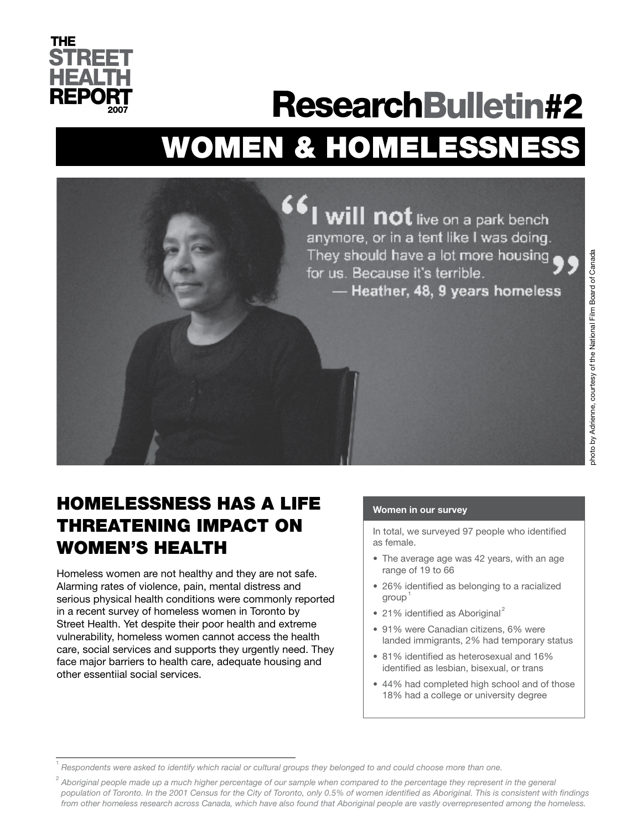

# WOMEN & HOMELESSNESS ResearchBulletin#2



# HOMELESSNESS HAS A LIFE THREATENING IMPACT ON WOMEN'S HEALTH

Homeless women are not healthy and they are not safe. Alarming rates of violence, pain, mental distress and serious physical health conditions were commonly reported in a recent survey of homeless women in Toronto by Street Health. Yet despite their poor health and extreme vulnerability, homeless women cannot access the health care, social services and supports they urgently need. They face major barriers to health care, adequate housing and other essentiial social services.

#### **Women in our survey**

In total, we surveyed 97 people who identified as female.

- The average age was 42 years, with an age range of 19 to 66
- 26% identified as belonging to a racialized group<sup>1</sup>
- 21% identified as Aboriginal<sup>2</sup>
- 91% were Canadian citizens, 6% were landed immigrants, 2% had temporary status
- 81% identified as heterosexual and 16% identified as lesbian, bisexual, or trans
- 44% had completed high school and of those 18% had a college or university degree

<sup>1</sup>  *Respondents were asked to identify which racial or cultural groups they belonged to and could choose more than one.*

<sup>&</sup>lt;sup>2</sup> Aboriginal people made up a much higher percentage of our sample when compared to the percentage they represent in the general *population of Toronto. In the 2001 Census for the City of Toronto, only 0.5% of women identified as Aboriginal. This is consistent with findings from other homeless research across Canada, which have also found that Aboriginal people are vastly overrepresented among the homeless.*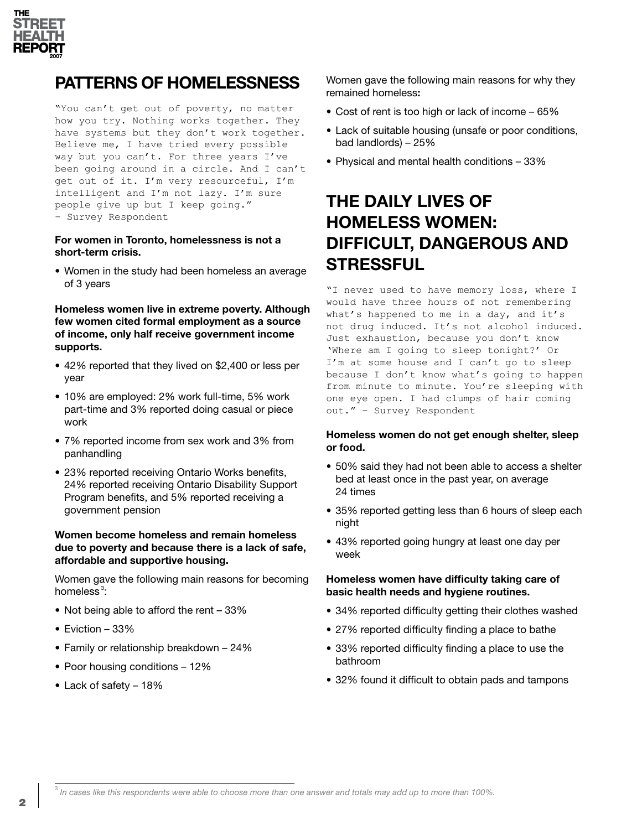

### **PATTERNS OF HOMELESSNESS**

"You can't get out of poverty, no matter how you try. Nothing works together. They have systems but they don't work together. Believe me, I have tried every possible way but you can't. For three years I've been going around in a circle. And I can't get out of it. I'm very resourceful, I'm intelligent and I'm not lazy. I'm sure people give up but I keep going." – Survey Respondent

#### **For women in Toronto, homelessness is not a short-term crisis.**

• Women in the study had been homeless an average of 3 years

#### **Homeless women live in extreme poverty. Although few women cited formal employment as a source of income, only half receive government income supports.**

- 42% reported that they lived on \$2,400 or less per year
- 10% are employed: 2% work full-time, 5% work part-time and 3% reported doing casual or piece work
- 7% reported income from sex work and 3% from panhandling
- 23% reported receiving Ontario Works benefits, 24% reported receiving Ontario Disability Support Program benefits, and 5% reported receiving a government pension

#### **Women become homeless and remain homeless due to poverty and because there is a lack of safe, affordable and supportive housing.**

Women gave the following main reasons for becoming homeless<sup>3</sup>:

- Not being able to afford the rent 33%
- Eviction 33%
- Family or relationship breakdown 24%
- Poor housing conditions 12%
- Lack of safety 18%

Women gave the following main reasons for why they remained homeless**:** 

- Cost of rent is too high or lack of income 65%
- Lack of suitable housing (unsafe or poor conditions, bad landlords) – 25%
- Physical and mental health conditions 33%

### **THE DAILY LIVES OF HOMELESS WOMEN: DIFFICULT, DANGEROUS AND STRESSFUL**

"I never used to have memory loss, where I would have three hours of not remembering what's happened to me in a day, and it's not drug induced. It's not alcohol induced. Just exhaustion, because you don't know 'Where am I going to sleep tonight?' Or I'm at some house and I can't go to sleep because I don't know what's going to happen from minute to minute. You're sleeping with one eye open. I had clumps of hair coming out." – Survey Respondent

#### **Homeless women do not get enough shelter, sleep or food.**

- 50% said they had not been able to access a shelter bed at least once in the past year, on average 24 times
- 35% reported getting less than 6 hours of sleep each night
- 43% reported going hungry at least one day per week

#### **Homeless women have difficulty taking care of basic health needs and hygiene routines.**

- 34% reported difficulty getting their clothes washed
- 27% reported difficulty finding a place to bathe
- 33% reported difficulty finding a place to use the bathroom
- 32% found it difficult to obtain pads and tampons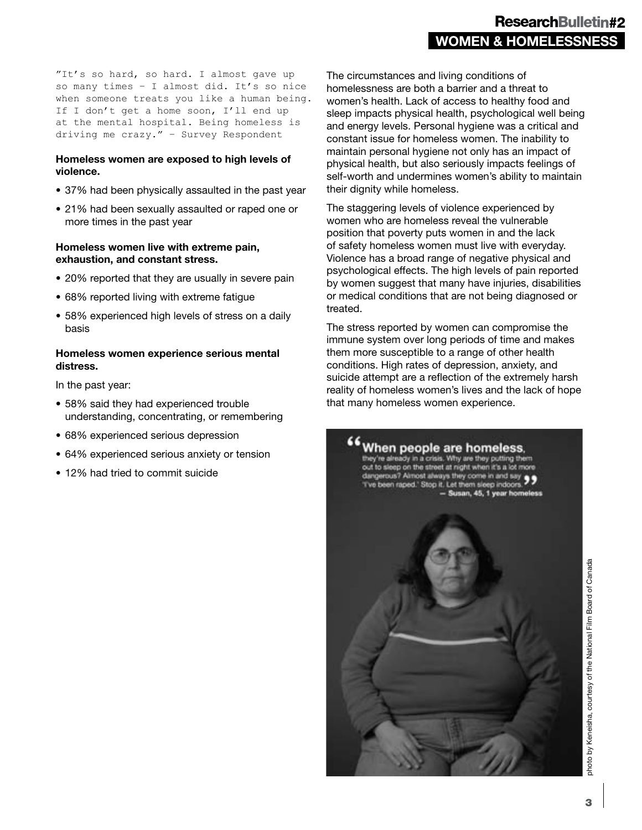"It's so hard, so hard. I almost gave up so many times – I almost did. It's so nice when someone treats you like a human being. If I don't get a home soon, I'll end up at the mental hospital. Being homeless is driving me crazy." – Survey Respondent

#### **Homeless women are exposed to high levels of violence.**

- 37% had been physically assaulted in the past year
- 21% had been sexually assaulted or raped one or more times in the past year

#### **Homeless women live with extreme pain, exhaustion, and constant stress.**

- 20% reported that they are usually in severe pain
- 68% reported living with extreme fatigue
- 58% experienced high levels of stress on a daily basis

#### **Homeless women experience serious mental distress.**

In the past year:

- 58% said they had experienced trouble understanding, concentrating, or remembering
- 68% experienced serious depression
- 64% experienced serious anxiety or tension
- 12% had tried to commit suicide

The circumstances and living conditions of homelessness are both a barrier and a threat to women's health. Lack of access to healthy food and sleep impacts physical health, psychological well being and energy levels. Personal hygiene was a critical and constant issue for homeless women. The inability to maintain personal hygiene not only has an impact of physical health, but also seriously impacts feelings of self-worth and undermines women's ability to maintain their dignity while homeless.

The staggering levels of violence experienced by women who are homeless reveal the vulnerable position that poverty puts women in and the lack of safety homeless women must live with everyday. Violence has a broad range of negative physical and psychological effects. The high levels of pain reported by women suggest that many have injuries, disabilities or medical conditions that are not being diagnosed or treated.

The stress reported by women can compromise the immune system over long periods of time and makes them more susceptible to a range of other health conditions. High rates of depression, anxiety, and suicide attempt are a reflection of the extremely harsh reality of homeless women's lives and the lack of hope that many homeless women experience.



ohoto by Keneisha, courtesy of the National Film Board of Canada photo by Keneisha, courtesy of the National Film Board of Canada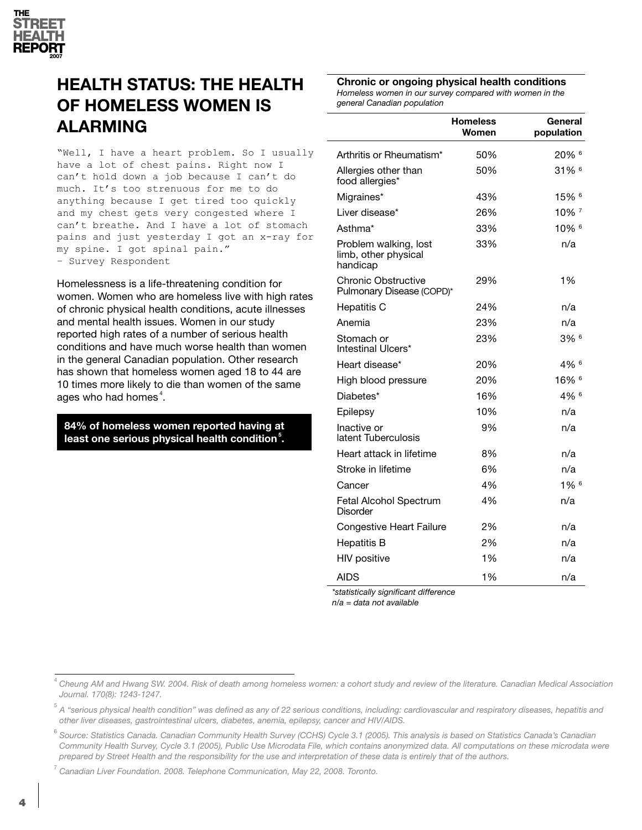

# **HEALTH STATUS: THE HEALTH OF HOMELESS WOMEN IS ALARMING**

"Well, I have a heart problem. So I usually have a lot of chest pains. Right now I can't hold down a job because I can't do much. It's too strenuous for me to do anything because I get tired too quickly and my chest gets very congested where I can't breathe. And I have a lot of stomach pains and just yesterday I got an x-ray for my spine. I got spinal pain." – Survey Respondent

Homelessness is a life-threatening condition for women. Women who are homeless live with high rates of chronic physical health conditions, acute illnesses and mental health issues. Women in our study reported high rates of a number of serious health conditions and have much worse health than women in the general Canadian population. Other research has shown that homeless women aged 18 to 44 are 10 times more likely to die than women of the same ages who had homes $^4$ .

**84% of homeless women reported having at least one serious physical health condition<sup>5</sup> .**

**Chronic or ongoing physical health conditions** *Homeless women in our survey compared with women in the general Canadian population*

|                                                           | <b>Homeless</b><br>Women | General<br>population |
|-----------------------------------------------------------|--------------------------|-----------------------|
| Arthritis or Rheumatism*                                  | 50%                      | 20% 6                 |
| Allergies other than<br>food allergies*                   | 50%                      | $31\%$ <sup>6</sup>   |
| Migraines*                                                | 43%                      | $15\%$ <sup>6</sup>   |
| Liver disease*                                            | 26%                      | 10% 7                 |
| Asthma <sup>*</sup>                                       | 33%                      | $10\%$ <sup>6</sup>   |
| Problem walking, lost<br>limb, other physical<br>handicap | 33%                      | n/a                   |
| Chronic Obstructive<br>Pulmonary Disease (COPD)*          | 29%                      | 1%                    |
| <b>Hepatitis C</b>                                        | 24%                      | n/a                   |
| Anemia                                                    | 23%                      | n/a                   |
| Stomach or<br>Intestinal Ulcers*                          | 23%                      | $3\%$ <sup>6</sup>    |
| Heart disease*                                            | 20%                      | 4% 6                  |
| High blood pressure                                       | 20%                      | 16% 6                 |
| Diabetes*                                                 | 16%                      | $4\%$ <sup>6</sup>    |
| Epilepsy                                                  | 10%                      | n/a                   |
| Inactive or<br>latent Tuberculosis                        | 9%                       | n/a                   |
| Heart attack in lifetime                                  | 8%                       | n/a                   |
| Stroke in lifetime                                        | 6%                       | n/a                   |
| Cancer                                                    | 4%                       | $1\%$ <sup>6</sup>    |
| Fetal Alcohol Spectrum<br><b>Disorder</b>                 | 4%                       | n/a                   |
| <b>Congestive Heart Failure</b>                           | 2%                       | n/a                   |
| <b>Hepatitis B</b>                                        | 2%                       | n/a                   |
| <b>HIV positive</b>                                       | 1%                       | n/a                   |
| <b>AIDS</b>                                               | 1%                       | n/a                   |

*\*statistically significant difference* 

*n/a = data not available*

7  *Canadian Liver Foundation. 2008. Telephone Communication, May 22, 2008. Toronto.*

<sup>4</sup> *Cheung AM and Hwang SW. 2004. Risk of death among homeless women: a cohort study and review of the literature. Canadian Medical Association Journal. 170(8): 1243-1247.*

<sup>5</sup>  *A "serious physical health condition" was defined as any of 22 serious conditions, including: cardiovascular and respiratory diseases, hepatitis and other liver diseases, gastrointestinal ulcers, diabetes, anemia, epilepsy, cancer and HIV/AIDS.*

<sup>6</sup>  *Source: Statistics Canada. Canadian Community Health Survey (CCHS) Cycle 3.1 (2005). This analysis is based on Statistics Canada's Canadian Community Health Survey, Cycle 3.1 (2005), Public Use Microdata File, which contains anonymized data. All computations on these microdata were prepared by Street Health and the responsibility for the use and interpretation of these data is entirely that of the authors.*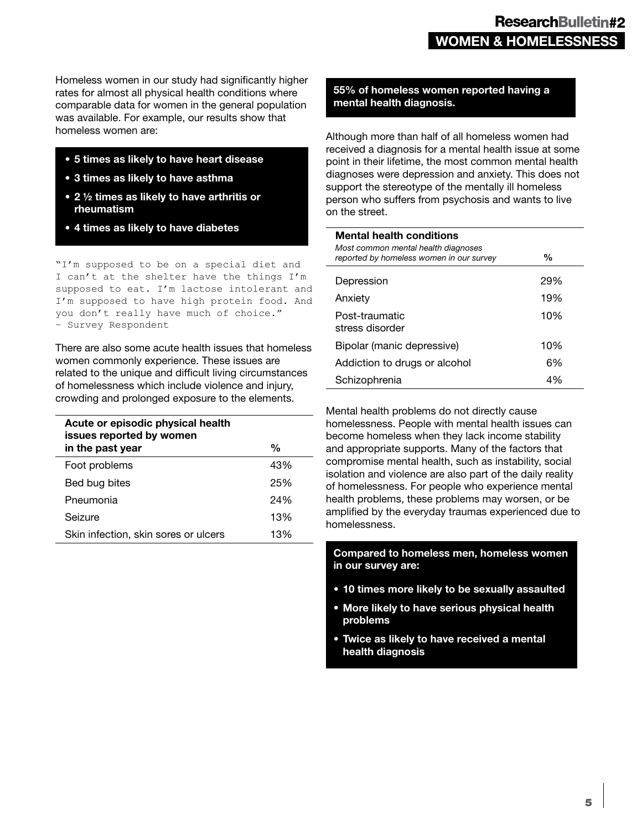Homeless women in our study had significantly higher rates for almost all physical health conditions where comparable data for women in the general population was available. For example, our results show that homeless women are:

- **5 times as likely to have heart disease**
- **3 times as likely to have asthma**
- **2 ½ times as likely to have arthritis or rheumatism**
- **4 times as likely to have diabetes**

"I'm supposed to be on a special diet and I can't at the shelter have the things I'm supposed to eat. I'm lactose intolerant and I'm supposed to have high protein food. And you don't really have much of choice." – Survey Respondent

There are also some acute health issues that homeless women commonly experience. These issues are related to the unique and difficult living circumstances of homelessness which include violence and injury, crowding and prolonged exposure to the elements.

| Acute or episodic physical health<br>issues reported by women |     |
|---------------------------------------------------------------|-----|
| in the past year                                              | %   |
| Foot problems                                                 | 43% |
| Bed bug bites                                                 | 25% |
| Pneumonia                                                     | 24% |
| Seizure                                                       | 13% |
| Skin infection, skin sores or ulcers                          | 13% |

#### **55% of homeless women reported having a mental health diagnosis.**

Although more than half of all homeless women had received a diagnosis for a mental health issue at some point in their lifetime, the most common mental health diagnoses were depression and anxiety. This does not support the stereotype of the mentally ill homeless person who suffers from psychosis and wants to live on the street.

| <b>Mental health conditions</b><br>Most common mental health diagnoses<br>reported by homeless women in our survey | %   |
|--------------------------------------------------------------------------------------------------------------------|-----|
| Depression                                                                                                         | 29% |
| Anxiety                                                                                                            | 19% |
| Post-traumatic<br>stress disorder                                                                                  | 10% |
| Bipolar (manic depressive)                                                                                         | 10% |
| Addiction to drugs or alcohol                                                                                      | 6%  |
| Schizophrenia                                                                                                      | 4%  |

Mental health problems do not directly cause homelessness. People with mental health issues can become homeless when they lack income stability and appropriate supports. Many of the factors that compromise mental health, such as instability, social isolation and violence are also part of the daily reality of homelessness. For people who experience mental health problems, these problems may worsen, or be amplified by the everyday traumas experienced due to homelessness.

**Compared to homeless men, homeless women in our survey are:**

- **10 times more likely to be sexually assaulted**
- **• More likely to have serious physical health problems**
- **Twice as likely to have received a mental health diagnosis**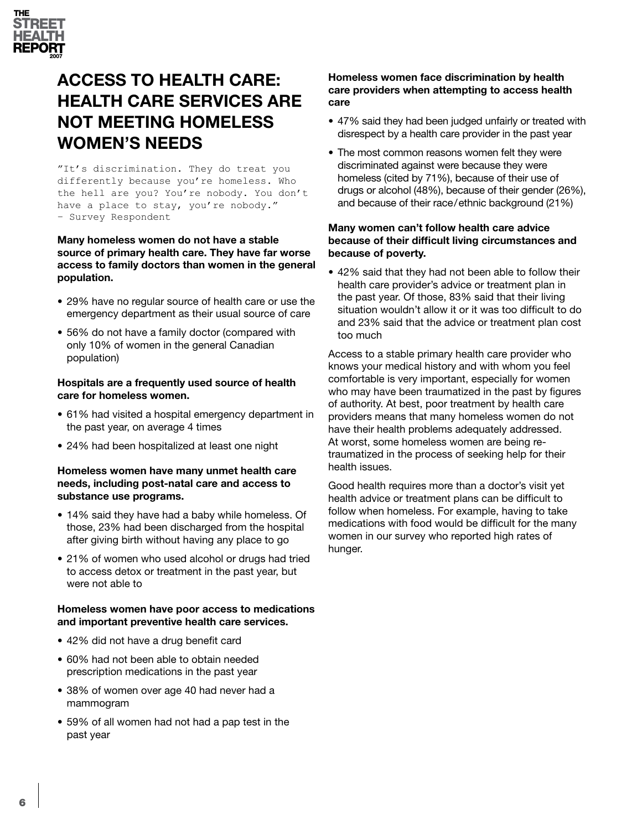

# **ACCESS TO HEALTH CARE: HEALTH CARE SERVICES ARE NOT MEETING HOMELESS WOMEN'S NEEDS**

"It's discrimination. They do treat you differently because you're homeless. Who the hell are you? You're nobody. You don't have a place to stay, you're nobody." – Survey Respondent

#### **Many homeless women do not have a stable source of primary health care. They have far worse access to family doctors than women in the general population.**

- 29% have no regular source of health care or use the emergency department as their usual source of care
- 56% do not have a family doctor (compared with only 10% of women in the general Canadian population)

#### **Hospitals are a frequently used source of health care for homeless women.**

- 61% had visited a hospital emergency department in the past year, on average 4 times
- 24% had been hospitalized at least one night

#### **Homeless women have many unmet health care needs, including post-natal care and access to substance use programs.**

- 14% said they have had a baby while homeless. Of those, 23% had been discharged from the hospital after giving birth without having any place to go
- 21% of women who used alcohol or drugs had tried to access detox or treatment in the past year, but were not able to

#### **Homeless women have poor access to medications and important preventive health care services.**

- 42% did not have a drug benefit card
- 60% had not been able to obtain needed prescription medications in the past year
- 38% of women over age 40 had never had a mammogram
- 59% of all women had not had a pap test in the past year

#### **Homeless women face discrimination by health care providers when attempting to access health care**

- 47% said they had been judged unfairly or treated with disrespect by a health care provider in the past year
- The most common reasons women felt they were discriminated against were because they were homeless (cited by 71%), because of their use of drugs or alcohol (48%), because of their gender (26%), and because of their race/ethnic background (21%)

#### **Many women can't follow health care advice because of their difficult living circumstances and because of poverty.**

• 42% said that they had not been able to follow their health care provider's advice or treatment plan in the past year. Of those, 83% said that their living situation wouldn't allow it or it was too difficult to do and 23% said that the advice or treatment plan cost too much

Access to a stable primary health care provider who knows your medical history and with whom you feel comfortable is very important, especially for women who may have been traumatized in the past by figures of authority. At best, poor treatment by health care providers means that many homeless women do not have their health problems adequately addressed. At worst, some homeless women are being retraumatized in the process of seeking help for their health issues.

Good health requires more than a doctor's visit yet health advice or treatment plans can be difficult to follow when homeless. For example, having to take medications with food would be difficult for the many women in our survey who reported high rates of hunger.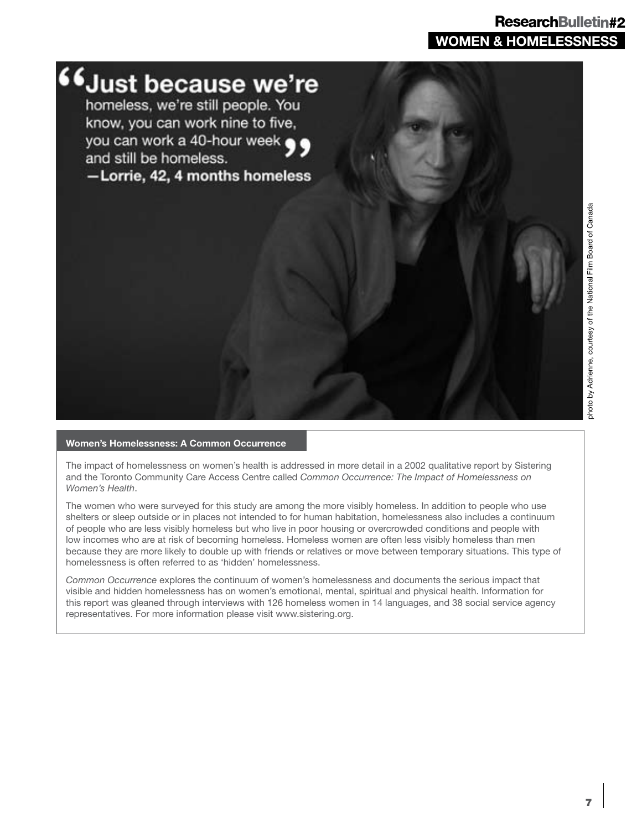### **WOMEN & HOMELESSNESS** ResearchBulletin#2



#### **Women's Homelessness: A Common Occurrence**

The impact of homelessness on women's health is addressed in more detail in a 2002 qualitative report by Sistering and the Toronto Community Care Access Centre called *Common Occurrence: The Impact of Homelessness on Women's Health*.

The women who were surveyed for this study are among the more visibly homeless. In addition to people who use shelters or sleep outside or in places not intended to for human habitation, homelessness also includes a continuum of people who are less visibly homeless but who live in poor housing or overcrowded conditions and people with low incomes who are at risk of becoming homeless. Homeless women are often less visibly homeless than men because they are more likely to double up with friends or relatives or move between temporary situations. This type of homelessness is often referred to as 'hidden' homelessness.

*Common Occurrence* explores the continuum of women's homelessness and documents the serious impact that visible and hidden homelessness has on women's emotional, mental, spiritual and physical health. Information for this report was gleaned through interviews with 126 homeless women in 14 languages, and 38 social service agency representatives. For more information please visit www.sistering.org.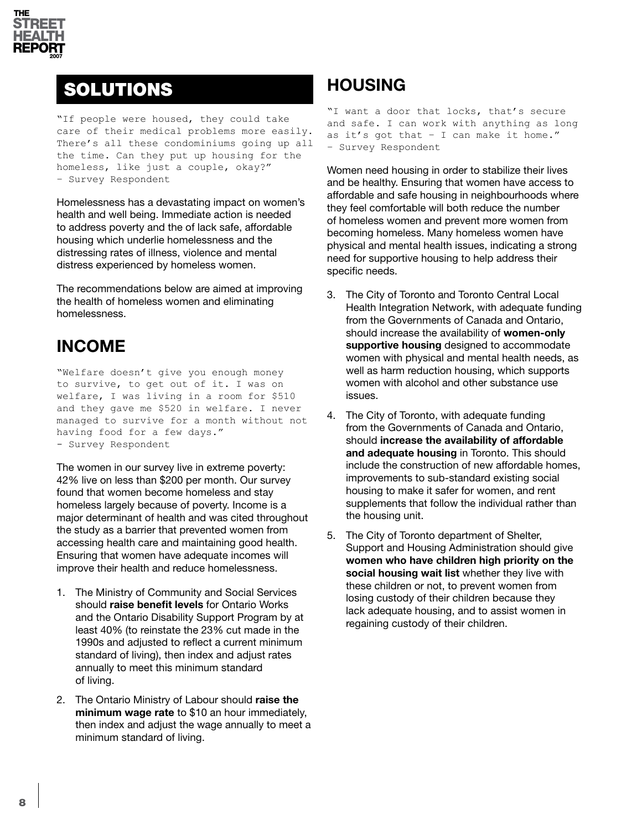

# SOLUTIONS

"If people were housed, they could take care of their medical problems more easily. There's all these condominiums going up all the time. Can they put up housing for the homeless, like just a couple, okay?" – Survey Respondent

Homelessness has a devastating impact on women's health and well being. Immediate action is needed to address poverty and the of lack safe, affordable housing which underlie homelessness and the distressing rates of illness, violence and mental distress experienced by homeless women.

The recommendations below are aimed at improving the health of homeless women and eliminating homelessness.

### **INCOME**

"Welfare doesn't give you enough money to survive, to get out of it. I was on welfare, I was living in a room for \$510 and they gave me \$520 in welfare. I never managed to survive for a month without not having food for a few days." - Survey Respondent

The women in our survey live in extreme poverty: 42% live on less than \$200 per month. Our survey found that women become homeless and stay homeless largely because of poverty. Income is a major determinant of health and was cited throughout the study as a barrier that prevented women from accessing health care and maintaining good health. Ensuring that women have adequate incomes will improve their health and reduce homelessness.

- 1. The Ministry of Community and Social Services should **raise benefit levels** for Ontario Works and the Ontario Disability Support Program by at least 40% (to reinstate the 23% cut made in the 1990s and adjusted to reflect a current minimum standard of living), then index and adjust rates annually to meet this minimum standard of living.
- 2. The Ontario Ministry of Labour should **raise the minimum wage rate** to \$10 an hour immediately, then index and adjust the wage annually to meet a minimum standard of living.

# **HOUSING**

"I want a door that locks, that's secure and safe. I can work with anything as long as it's got that – I can make it home." – Survey Respondent

Women need housing in order to stabilize their lives and be healthy. Ensuring that women have access to affordable and safe housing in neighbourhoods where they feel comfortable will both reduce the number of homeless women and prevent more women from becoming homeless. Many homeless women have physical and mental health issues, indicating a strong need for supportive housing to help address their specific needs.

- 3. The City of Toronto and Toronto Central Local Health Integration Network, with adequate funding from the Governments of Canada and Ontario, should increase the availability of **women-only supportive housing** designed to accommodate women with physical and mental health needs, as well as harm reduction housing, which supports women with alcohol and other substance use issues.
- 4. The City of Toronto, with adequate funding from the Governments of Canada and Ontario, should **increase the availability of affordable and adequate housing** in Toronto. This should include the construction of new affordable homes, improvements to sub-standard existing social housing to make it safer for women, and rent supplements that follow the individual rather than the housing unit.
- 5. The City of Toronto department of Shelter, Support and Housing Administration should give **women who have children high priority on the social housing wait list** whether they live with these children or not, to prevent women from losing custody of their children because they lack adequate housing, and to assist women in regaining custody of their children.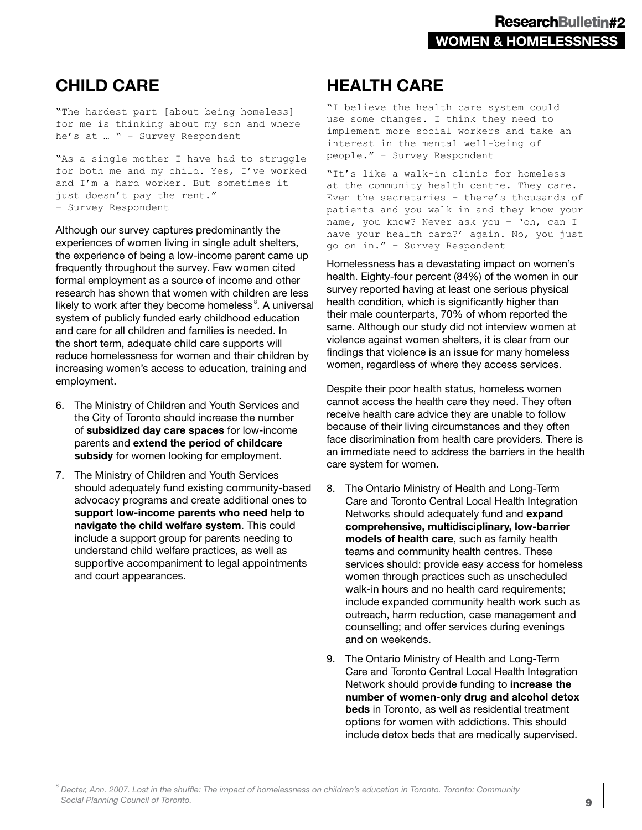### **CHILD CARE**

"The hardest part [about being homeless] for me is thinking about my son and where he's at … " – Survey Respondent

"As a single mother I have had to struggle for both me and my child. Yes, I've worked and I'm a hard worker. But sometimes it just doesn't pay the rent." – Survey Respondent

Although our survey captures predominantly the experiences of women living in single adult shelters, the experience of being a low-income parent came up frequently throughout the survey. Few women cited formal employment as a source of income and other research has shown that women with children are less likely to work after they become homeless<sup>8</sup>. A universal system of publicly funded early childhood education and care for all children and families is needed. In the short term, adequate child care supports will reduce homelessness for women and their children by increasing women's access to education, training and employment.

- 6. The Ministry of Children and Youth Services and the City of Toronto should increase the number of **subsidized day care spaces** for low-income parents and **extend the period of childcare subsidy** for women looking for employment.
- 7. The Ministry of Children and Youth Services should adequately fund existing community-based advocacy programs and create additional ones to **support low-income parents who need help to navigate the child welfare system**. This could include a support group for parents needing to understand child welfare practices, as well as supportive accompaniment to legal appointments and court appearances.

### **HEALTH CARE**

"I believe the health care system could use some changes. I think they need to implement more social workers and take an interest in the mental well-being of people." – Survey Respondent

"It's like a walk-in clinic for homeless at the community health centre. They care. Even the secretaries – there's thousands of patients and you walk in and they know your name, you know? Never ask you – 'oh, can I have your health card?' again. No, you just go on in." – Survey Respondent

Homelessness has a devastating impact on women's health. Eighty-four percent (84%) of the women in our survey reported having at least one serious physical health condition, which is significantly higher than their male counterparts, 70% of whom reported the same. Although our study did not interview women at violence against women shelters, it is clear from our findings that violence is an issue for many homeless women, regardless of where they access services.

Despite their poor health status, homeless women cannot access the health care they need. They often receive health care advice they are unable to follow because of their living circumstances and they often face discrimination from health care providers. There is an immediate need to address the barriers in the health care system for women.

- 8. The Ontario Ministry of Health and Long-Term Care and Toronto Central Local Health Integration Networks should adequately fund and **expand comprehensive, multidisciplinary, low-barrier models of health care**, such as family health teams and community health centres. These services should: provide easy access for homeless women through practices such as unscheduled walk-in hours and no health card requirements; include expanded community health work such as outreach, harm reduction, case management and counselling; and offer services during evenings and on weekends.
- 9. The Ontario Ministry of Health and Long-Term Care and Toronto Central Local Health Integration Network should provide funding to **increase the number of women-only drug and alcohol detox beds** in Toronto, as well as residential treatment options for women with addictions. This should include detox beds that are medically supervised.

<sup>8</sup> *Decter, Ann. 2007. Lost in the shuffle: The impact of homelessness on children's education in Toronto. Toronto: Community Social Planning Council of Toronto.*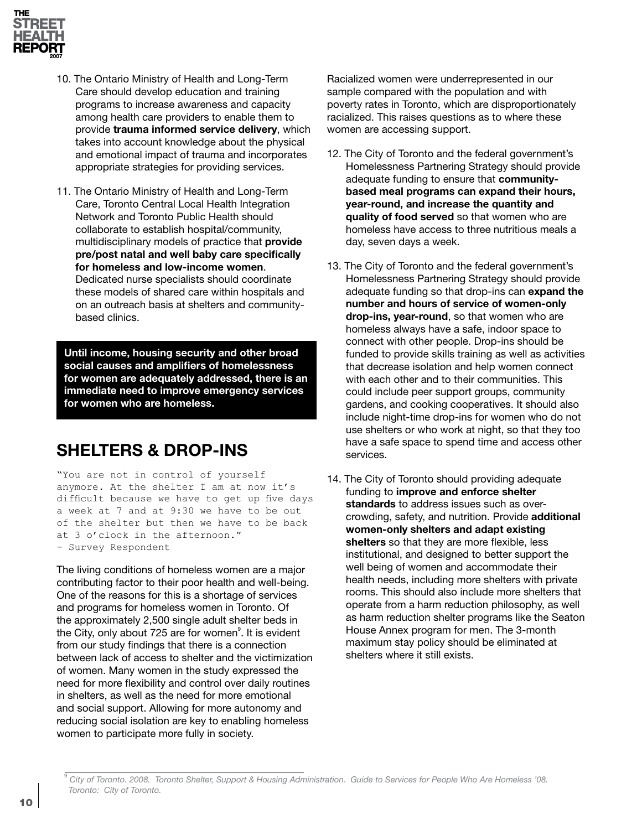

- 10. The Ontario Ministry of Health and Long-Term Care should develop education and training programs to increase awareness and capacity among health care providers to enable them to provide **trauma informed service delivery**, which takes into account knowledge about the physical and emotional impact of trauma and incorporates appropriate strategies for providing services.
- 11. The Ontario Ministry of Health and Long-Term Care, Toronto Central Local Health Integration Network and Toronto Public Health should collaborate to establish hospital/community, multidisciplinary models of practice that **provide pre/post natal and well baby care specifically for homeless and low-income women**. Dedicated nurse specialists should coordinate these models of shared care within hospitals and on an outreach basis at shelters and communitybased clinics.

**Until income, housing security and other broad social causes and amplifiers of homelessness for women are adequately addressed, there is an immediate need to improve emergency services for women who are homeless.**

### **SHELTERS & DROP-INS**

"You are not in control of yourself anymore. At the shelter I am at now it's difficult because we have to get up five days a week at 7 and at 9:30 we have to be out of the shelter but then we have to be back at 3 o'clock in the afternoon." – Survey Respondent

The living conditions of homeless women are a major contributing factor to their poor health and well-being. One of the reasons for this is a shortage of services and programs for homeless women in Toronto. Of the approximately 2,500 single adult shelter beds in the City, only about 725 are for women<sup>9</sup>. It is evident from our study findings that there is a connection between lack of access to shelter and the victimization of women. Many women in the study expressed the need for more flexibility and control over daily routines in shelters, as well as the need for more emotional and social support. Allowing for more autonomy and reducing social isolation are key to enabling homeless women to participate more fully in society.

Racialized women were underrepresented in our sample compared with the population and with poverty rates in Toronto, which are disproportionately racialized. This raises questions as to where these women are accessing support.

- 12. The City of Toronto and the federal government's Homelessness Partnering Strategy should provide adequate funding to ensure that **communitybased meal programs can expand their hours, year-round, and increase the quantity and quality of food served** so that women who are homeless have access to three nutritious meals a day, seven days a week.
- 13. The City of Toronto and the federal government's Homelessness Partnering Strategy should provide adequate funding so that drop-ins can **expand the number and hours of service of women-only drop-ins, year-round**, so that women who are homeless always have a safe, indoor space to connect with other people. Drop-ins should be funded to provide skills training as well as activities that decrease isolation and help women connect with each other and to their communities. This could include peer support groups, community gardens, and cooking cooperatives. It should also include night-time drop-ins for women who do not use shelters or who work at night, so that they too have a safe space to spend time and access other services.
- 14. The City of Toronto should providing adequate funding to **improve and enforce shelter standards** to address issues such as overcrowding, safety, and nutrition. Provide **additional women-only shelters and adapt existing shelters** so that they are more flexible, less institutional, and designed to better support the well being of women and accommodate their health needs, including more shelters with private rooms. This should also include more shelters that operate from a harm reduction philosophy, as well as harm reduction shelter programs like the Seaton House Annex program for men. The 3-month maximum stay policy should be eliminated at shelters where it still exists.

<sup>9</sup>  *City of Toronto. 2008. Toronto Shelter, Support & Housing Administration. Guide to Services for People Who Are Homeless '08. Toronto: City of Toronto.*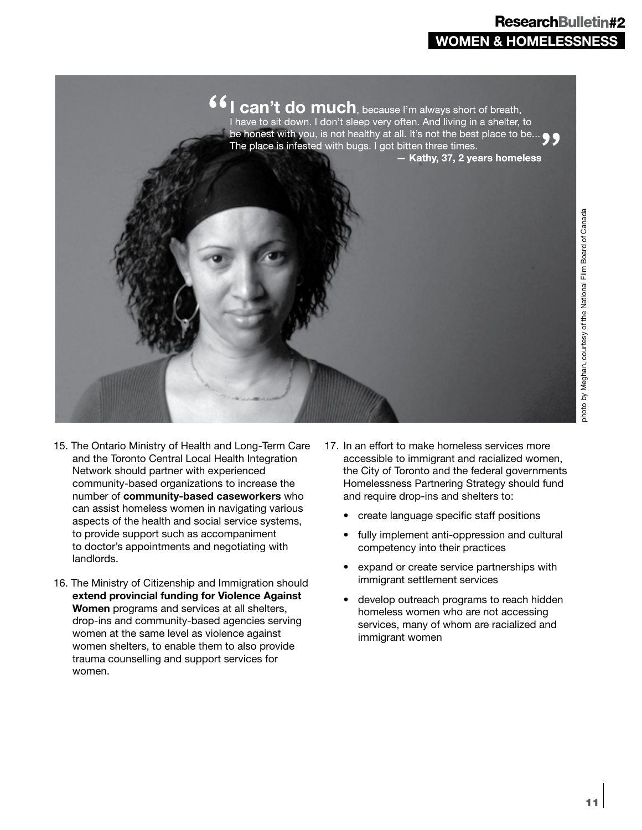### **WOMEN & HOMELESSNESS** ResearchBulletin#2



photo by Meghan, courtesy of the National Film Board of Canadaphoto by Meghan, courtesy of the National Film Board of Canada

- 15. The Ontario Ministry of Health and Long-Term Care and the Toronto Central Local Health Integration Network should partner with experienced community-based organizations to increase the number of **community-based caseworkers** who can assist homeless women in navigating various aspects of the health and social service systems, to provide support such as accompaniment to doctor's appointments and negotiating with landlords.
- 16. The Ministry of Citizenship and Immigration should **extend provincial funding for Violence Against Women** programs and services at all shelters, drop-ins and community-based agencies serving women at the same level as violence against women shelters, to enable them to also provide trauma counselling and support services for women.
- 17. In an effort to make homeless services more accessible to immigrant and racialized women, the City of Toronto and the federal governments Homelessness Partnering Strategy should fund and require drop-ins and shelters to:
	- create language specific staff positions
	- fully implement anti-oppression and cultural competency into their practices
	- expand or create service partnerships with immigrant settlement services
	- develop outreach programs to reach hidden homeless women who are not accessing services, many of whom are racialized and immigrant women